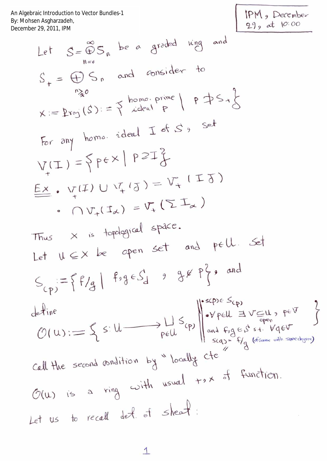An Algebraic Introduction to Vector Bundles-1<br>By: Mohsen Asgharzadeh,<br>December 29, 2011, IPM

IPM, December<br>29, at 10:00

Let 
$$
S = \bigoplus_{n=s}^{\infty} S_n
$$
 be a graded ring and  
\n $S_+ = \bigoplus_{n=s}^{\infty} S_n$  and consider to  
\n $\chi := \text{Proj}(S) := \{ \text{ideal } F \mid P \Rightarrow S_n \}$   
\nFor any home, ideal  $I$  of  $S$ , set  
\n $V(I) = \{ \text{pe} \times | P \Rightarrow I \}$   
\n $\underline{E} \times \cdot V(I) \cup V_I$  (1) =  $V_I$  (112)  
\n $\cdot$  (112) =  $V_I$  (212)  
\nThus  $\times$  is topological space.  
\nLet  $U \subseteq X$  be open set and  $P \in U$ . Set  
\n $S_{(p)} := \{ f/g \mid f \circ g \in S_d$  9 34 P<sup>2</sup>, and  
\ndefine  
\n $O(U) := \{ s : U \longrightarrow \text{bel} \cup \text{sel} \} \cup \{ v \in U \Rightarrow V \subseteq U, \text{sel} \}$   
\n $Call$  the second condition by "locally of  
\n $\circ$  (12) is a ring with usual  $+ \circ \times$  of function.  
\nLet us to recall det. of  $S$  be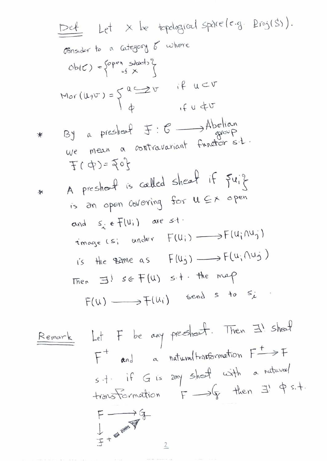| Det                                  | Let     | Let | Let | Set | Problem | oplicles | Proof |
|--------------------------------------|---------|-----|-----|-----|---------|----------|-------|
| Consider to a category of where      |         |     |     |     |         |          |       |
| Ob(C) = $\{P^{per} \text{shod } Y\}$ |         |     |     |     |         |          |       |
| Mor(U,0^T) = $\{U \rightarrow U\}$   | if      |     |     |     |         |          |       |
| Not (U,0^T) = $\{U \rightarrow U\}$  | if      |     |     |     |         |          |       |
| Not (U,0^T) = $\{U \rightarrow U\}$  | if      |     |     |     |         |          |       |
| Not (U,0^T) = $\{U \rightarrow U\}$  | if      |     |     |     |         |          |       |
| Not (U,0^T) = $\{U \rightarrow U\}$  | if      |     |     |     |         |          |       |
| Not (U,0^T) = $\{U \rightarrow U\}$  | if      |     |     |     |         |          |       |
| Not (U,0^T) = $\{U \rightarrow U\}$  | if      |     |     |     |         |          |       |
| Not (U,0^T) = $\{U \rightarrow U\}$  | if      |     |     |     |         |          |       |
| Not (U,0^T) = $\{U \rightarrow U\}$  | if      |     |     |     |         |          |       |
| Not (U,0^T) = $\{U \rightarrow U\}$  | if      |     |     |     |         |          |       |
| Not (U,0^T) = $\{U \rightarrow U\}$  | if      |     |     |     |         |          |       |
| Not (U,0^T) = $\{U \rightarrow U\}$  | if      |     |     |     |         |          |       |
| Not (U,0^T) = $\{U \rightarrow U\}$  | if      |     |     |     |         |          |       |
| Not (U,0^T) = $\{U \rightarrow U\}$  | if      |     |     |     |         |          |       |
| Not (U,0^T) = $\{U \rightarrow U\}$  | if </td |     |     |     |         |          |       |

Remark Let F be any preshart. Then 
$$
\exists!
$$
 shart  
\n $F^+$  and a natural transformation  $F^+$   $\rightarrow$  F  
\n $s +$  if G is any sheaf with a natural  
\ntransformation  $F \rightarrow G$  then  $\exists!$   $\phi$  s.t.  
\n $F \rightarrow G$   
\n $\downarrow$   $\downarrow$   $\downarrow$   $\downarrow$   $\downarrow$   $\downarrow$   $\downarrow$   $\downarrow$   $\downarrow$   $\downarrow$   $\downarrow$   $\downarrow$   $\downarrow$   $\downarrow$   $\downarrow$   $\downarrow$   $\downarrow$   $\downarrow$   $\downarrow$   $\downarrow$   $\downarrow$   $\downarrow$   $\downarrow$   $\downarrow$   $\downarrow$   $\downarrow$   $\downarrow$   $\downarrow$   $\downarrow$   $\downarrow$   $\downarrow$   $\downarrow$   $\downarrow$   $\downarrow$   $\downarrow$   $\downarrow$   $\downarrow$   $\downarrow$   $\downarrow$   $\downarrow$   $\downarrow$   $\downarrow$   $\downarrow$   $\downarrow$   $\downarrow$   $\downarrow$   $\downarrow$   $\downarrow$   $\downarrow$   $\downarrow$   $\downarrow$   $\downarrow$   $\downarrow$   $\downarrow$   $\downarrow$   $\downarrow$   $\downarrow$   $\downarrow$   $\downarrow$   $\downarrow$   $\downarrow$   $\downarrow$   $\downarrow$   $\downarrow$   $\downarrow$   $\downarrow$   $\downarrow$   $\downarrow$   $\downarrow$   $\downarrow$   $\downarrow$   $\downarrow$   $\downarrow$   $\downarrow$   $\downarrow$   $\downarrow$   $\downarrow$   $\downarrow$   $\downarrow$   $\downarrow$   $\downarrow$ 

an the carter control con-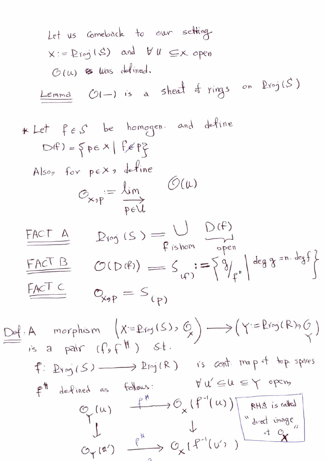Let us completely  
\n
$$
x := Pr_{0} (S)
$$
 and  $VU \subseteq x$  open  
\n $\circ (U)$  & thus defined.  
\nLemma  $U(-)$  is a sheaf of rings on  $Pr_{0} (S)$   
\n $\star$  Let  $f \in S$  be homogeneous and define  
\n $D(f) = \{pe \times | f \notin f\}$   
\nAlso, for  $p \in X$ , define  
\n $O_{x} p = \frac{\lambda im}{p \in U}$   
\nFACT A  $D_{0} (S) = \bigcup_{\begin{subarray}{l} m \in N \\ m \in V \end{subarray}} D(f)$   
\nFACT B  $U(10(f)) = S_{(1)} := \{9 \}$   
\nFACT C  $O_{x} p = S_{(p)}$   
\n $\begin{array}{l} \hline HCT C \\ \hline R \end{array} \quad C_{x} p = S_{(p)}$   
\n $\begin{array}{l} \hline M \cap T \\ \hline R \end{array} \quad \begin{array}{l} \hline X:=Pr_{0} (S) \cdot Q \\ \hline R \end{array} \quad \begin{array}{l} \hline \end{array} \quad \begin{array}{l} \hline \end{array} \quad \begin{array}{l} \hline \end{array} \quad \begin{array}{l} \hline \end{array} \quad \begin{array}{l} \hline \end{array} \quad \begin{array}{l} \hline \end{array} \quad \begin{array}{l} \hline \end{array} \quad \begin{array}{l} \hline \end{array} \quad \begin{array}{l} \hline \end{array} \quad \begin{array}{l} \hline \end{array} \quad \begin{array}{l} \hline \end{array} \quad \begin{array}{l} \hline \end{array} \quad \begin{array}{l} \hline \end{array} \quad \begin{array}{l} \hline \end{array} \quad \begin{array}{l} \hline \end{array} \quad \begin{array}{l} \hline \end{array} \quad \begin{array}{l} \hline \end{array} \quad \begin{array}{l} \hline \end{array} \quad \begin{array}{l} \hline \end{array} \quad \begin{array}{l} \hline \end{array} \quad \begin{array} \hline \end{array} \quad \begin{array} \hline \end{array} \quad \begin{array} \h$ 

 $\circ$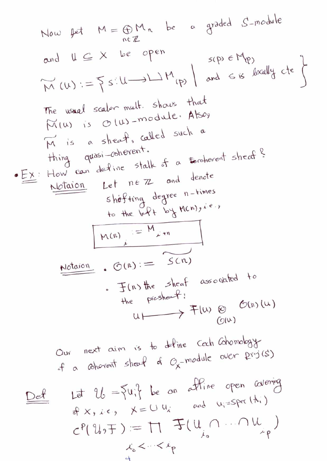Now 
$$
pt M = \bigoplus_{n \in \mathbb{Z}} M_n
$$
 be a graded S-module  
\nand  $U \subseteq X$  be open  
\n $W(U) := \sum_{n \in \mathbb{Z}} s(U) \perp M_{(p)}$  and  $s$  is locally the  
\n $W(U) := \sum_{n \in \mathbb{Z}} s(U) \perp M_{(p)}$  and  $s$  is locally the  
\n $W(U)$  is  $O(U) \perp \text{mod} U$ . Also  
\n $W$  is a sheaf, called such a  
\n $W$  this is a sheaf, called such a  
\n $W$  this is a sheaf, called such a  
\n $W$  this is a sheaf, called such a  
\n $W$  this is a sheaf, called such a  
\n $W$  this is a sheaf, and hence  
\n $W$  is a sheaf, and hence  
\n $W$  is a sheaf, and hence  
\n $W$  is a sheaf, and hence  
\n $W$  is a sheaf, and hence  
\n $W$  is a sheaf, and hence  
\n $W$  is a sheaf, and hence  
\n $W$  is a sheaf, and hence  
\n $W$  is a sheaf, and hence  
\n $W$  is a sheaf, and hence  
\n $W$  is a sheaf, and hence  
\n $W$  is a sheaf, and hence  
\n $W$  is a sheaf, and hence  
\n $W$  is a sheaf, and hence  
\n $W$  is a sheaf, and hence  
\n $W$  is a sheaf, and hence  
\n $W$  is a sheaf, and hence  
\n $W$  is a sheaf, and hence  
\n $W$  is a sheaf, and hence  
\n $W$  is a sheaf, and hence  
\n $W$  is a sheaf, and hence  
\n $W$  is a sheaf, and hence  
\n $W$  is a sheaf, and hence  
\n $W$  is a sheaf, and hence  
\n $W$  is a sheaf, and hence  
\n $W$  is a sheaf, and hence  
\n $W$  is a sheaf, and hence  
\n $W$  is a sheaf, and then  
\n $W$  is a sheaf, and then  
\n $W$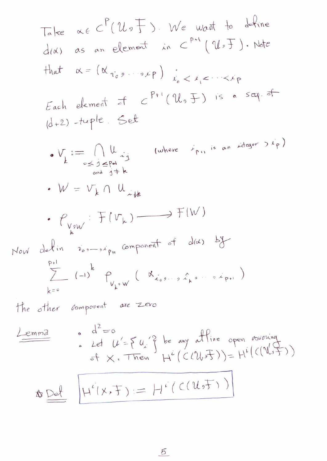Take 
$$
oc \in C^{p}(U_{0} \rightharpoonup J)
$$
. We want to define  
\nd(A) as an element in  $C^{p+1}(U_{0} \rightharpoonup J)$ . Note  
\nthat  $\alpha = (\alpha_{\eta_{0,0}},...,\rho_{p})$   $\frac{1}{k_{0}} < k_{1} < \cdots < k_{p}$   
\nEach element of  $C^{p+1}(U_{0} \rightharpoonup J)$  is a seq. of  
\n $(d+2) - true$  and  $c \rightharpoonup f^{p+1}(U_{0} \rightharpoonup J)$  is a seq. of  
\n $\alpha + 2$  and  $\alpha + 3$   
\n $\cdots = \bigcap_{\substack{0 \leq i \leq p-1 \\ i \neq j}} \alpha_{i,j}$  (where  $\gamma_{p,i}$  is an integer  $3k_{p}$ )  
\n $\cdots = \bigcup_{\substack{0 \leq j \leq p-1 \\ k \neq j}} \alpha_{j,j}$  (where  $\gamma_{p,i}$  is an integer  $3k_{p}$ )  
\n $\vdots$   $\bigcup_{\substack{0 \leq j \leq p-1 \\ k \neq j}} \alpha_{j,j}$  (where  $\gamma_{p,i}$  is an integer  $3k_{p}$ )  
\nNow obtain  $\gamma_{0},...,\gamma_{p}$  component of  $d(x)$  by  
\n $\sum_{k=0}^{p+1} (-1)^{k} P_{V_{k},W} (N_{i_{0},...,i_{k},...,i_{k},...,i_{k},...,i_{k})$   
\n $\vdots$   $\vdots$   $\vdots$   $\vdots$   $\vdots$   $\vdots$   $\vdots$   $\vdots$   $\vdots$   $\vdots$   $\vdots$   $\vdots$   $\vdots$   $\vdots$   $\vdots$   $\vdots$   $\vdots$   $\vdots$   $\vdots$   $\vdots$   $\vdots$   $\vdots$   $\vdots$   $\vdots$   $\vdots$   $\vdots$   $\vdots$   $\vdots$   $\vdots$   $\vdots$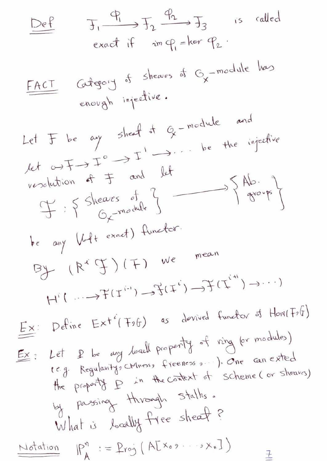| Def                                                                                                                                                 | $T_1$                                                       | $T_2$ | $T_3$ | is called<br>exact if $im\varphi_1 = ker\varphi_2$ . |
|-----------------------------------------------------------------------------------------------------------------------------------------------------|-------------------------------------------------------------|-------|-------|------------------------------------------------------|
| <u>FACT</u>                                                                                                                                         | Gragoy of sheaves of $C_x$ -module has<br>enough injective. |       |       |                                                      |
| Let $F$ be $ay$ sheaf at $Q$ -module and<br>weolution of $\pm$ and let<br>weolution of $\pm$ and let<br>$C_x$ -module and $C_x$ -module.            |                                                             |       |       |                                                      |
| Let $U$ be $ay$ sheaf at $Q$ -module and<br>weolution of $\pm$ and let<br>$C_x$ -module for<br>$C_x$ -module for<br>the $any$ $WH + exact$ (Hurder: |                                                             |       |       |                                                      |
| By $(R^c \oplus) (F)$ as derived functors of $Hon(Fof)$                                                                                             |                                                             |       |       |                                                      |
| iii $(... \rightarrow F(T^{(n)}) \rightarrow F(T^{(n)}) \rightarrow \cdots$                                                                         |                                                             |       |       |                                                      |
| iv $(... \rightarrow F(T^{(n)}) \rightarrow F(T^{(n)}) \rightarrow \cdots$                                                                          |                                                             |       |       |                                                      |
| iv $(... \rightarrow F(T^{(n)}) \rightarrow F(T^{(n)}) \rightarrow \cdots$                                                                          |                                                             |       |       |                                                      |
| Ex: Define $Ext^c(F_1f_0)$ as derived functors of $Hon(F_1f_0)$                                                                                     |                                                             |       |       |                                                      |
| Ex: Let $P$ be $ay$ $b$ $ad$ $P_1$ $P_2$ $f$ $ring$ $q$ $ring$ $q$ $ring$ $q$ $ring$ \n                                                             |                                                             |       |       |                                                      |
| Ex: Let $P$ be $ay$ $b$ $ad$ $P_1$ $g$ $g$ $g$ $g$ $g$ $g$ $g$ $g$ $g$ $g$ $g$                                                                      |                                                             |       |       |                                                      |